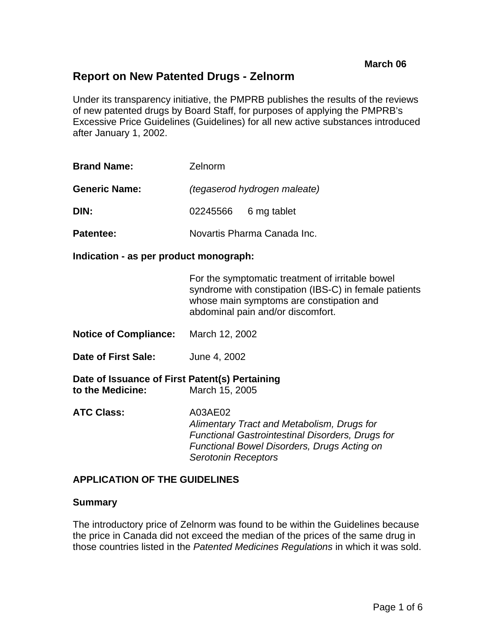# **Report on New Patented Drugs - Zelnorm**

Under its transparency initiative, the PMPRB publishes the results of the reviews of new patented drugs by Board Staff, for purposes of applying the PMPRB's Excessive Price Guidelines (Guidelines) for all new active substances introduced after January 1, 2002.

| <b>Brand Name:</b>   | Zelnorm                      |                      |
|----------------------|------------------------------|----------------------|
| <b>Generic Name:</b> | (tegaserod hydrogen maleate) |                      |
| DIN:                 |                              | 02245566 6 mg tablet |
| Patentee:            | Novartis Pharma Canada Inc.  |                      |

#### **Indication - as per product monograph:**

For the symptomatic treatment of irritable bowel syndrome with constipation (IBS-C) in female patients whose main symptoms are constipation and abdominal pain and/or discomfort.

- **Notice of Compliance:** March 12, 2002
- **Date of First Sale:** June 4, 2002

**Date of Issuance of First Patent(s) Pertaining to the Medicine:** March 15, 2005

**ATC Class:** A03AE02 *Alimentary Tract and Metabolism, Drugs for Functional Gastrointestinal Disorders, Drugs for Functional Bowel Disorders, Drugs Acting on Serotonin Receptors* 

#### **APPLICATION OF THE GUIDELINES**

#### **Summary**

The introductory price of Zelnorm was found to be within the Guidelines because the price in Canada did not exceed the median of the prices of the same drug in those countries listed in the *Patented Medicines Regulations* in which it was sold.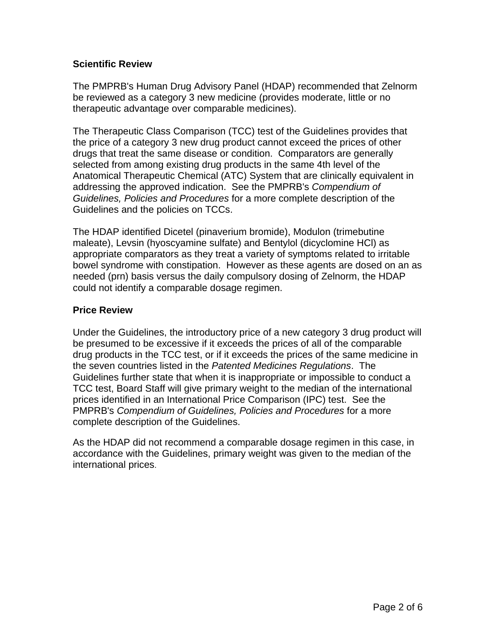## **Scientific Review**

The PMPRB's Human Drug Advisory Panel (HDAP) recommended that Zelnorm be reviewed as a category 3 new medicine (provides moderate, little or no therapeutic advantage over comparable medicines).

The Therapeutic Class Comparison (TCC) test of the Guidelines provides that the price of a category 3 new drug product cannot exceed the prices of other drugs that treat the same disease or condition. Comparators are generally selected from among existing drug products in the same 4th level of the Anatomical Therapeutic Chemical (ATC) System that are clinically equivalent in addressing the approved indication. See the PMPRB's *Compendium of Guidelines, Policies and Procedures* for a more complete description of the Guidelines and the policies on TCCs.

The HDAP identified Dicetel (pinaverium bromide), Modulon (trimebutine maleate), Levsin (hyoscyamine sulfate) and Bentylol (dicyclomine HCl) as appropriate comparators as they treat a variety of symptoms related to irritable bowel syndrome with constipation. However as these agents are dosed on an as needed (prn) basis versus the daily compulsory dosing of Zelnorm, the HDAP could not identify a comparable dosage regimen.

## **Price Review**

Under the Guidelines, the introductory price of a new category 3 drug product will be presumed to be excessive if it exceeds the prices of all of the comparable drug products in the TCC test, or if it exceeds the prices of the same medicine in the seven countries listed in the *Patented Medicines Regulations*. The Guidelines further state that when it is inappropriate or impossible to conduct a TCC test, Board Staff will give primary weight to the median of the international prices identified in an International Price Comparison (IPC) test. See the PMPRB's *Compendium of Guidelines, Policies and Procedures* for a more complete description of the Guidelines.

As the HDAP did not recommend a comparable dosage regimen in this case, in accordance with the Guidelines, primary weight was given to the median of the international prices.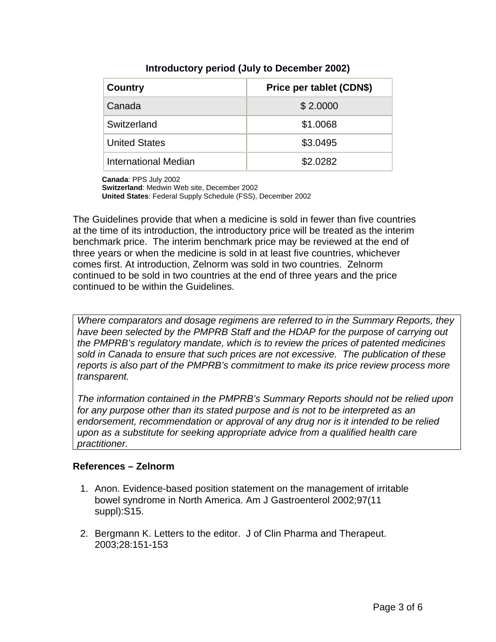| <b>Country</b>       | Price per tablet (CDN\$) |
|----------------------|--------------------------|
| Canada               | \$2.0000                 |
| Switzerland          | \$1.0068                 |
| <b>United States</b> | \$3.0495                 |
| International Median | \$2.0282                 |

### **Introductory period (July to December 2002)**

**Canada**: PPS July 2002

**Switzerland**: Medwin Web site, December 2002

**United States**: Federal Supply Schedule (FSS), December 2002

The Guidelines provide that when a medicine is sold in fewer than five countries at the time of its introduction, the introductory price will be treated as the interim benchmark price. The interim benchmark price may be reviewed at the end of three years or when the medicine is sold in at least five countries, whichever comes first. At introduction, Zelnorm was sold in two countries. Zelnorm continued to be sold in two countries at the end of three years and the price continued to be within the Guidelines.

*Where comparators and dosage regimens are referred to in the Summary Reports, they*  have been selected by the PMPRB Staff and the HDAP for the purpose of carrying out *the PMPRB's regulatory mandate, which is to review the prices of patented medicines sold in Canada to ensure that such prices are not excessive. The publication of these reports is also part of the PMPRB's commitment to make its price review process more transparent.* 

*The information contained in the PMPRB's Summary Reports should not be relied upon for any purpose other than its stated purpose and is not to be interpreted as an*  endorsement, recommendation or approval of any drug nor is it intended to be relied *upon as a substitute for seeking appropriate advice from a qualified health care practitioner.* 

#### **References – Zelnorm**

- 1. Anon. Evidence-based position statement on the management of irritable bowel syndrome in North America. Am J Gastroenterol 2002;97(11 suppl):S15.
- 2. Bergmann K. Letters to the editor. J of Clin Pharma and Therapeut. 2003;28:151-153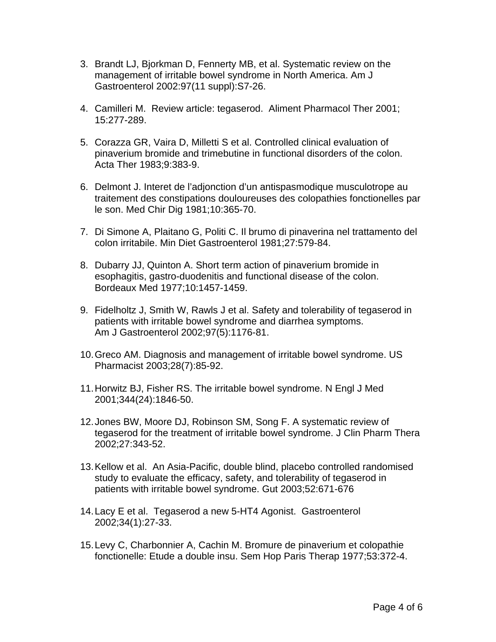- 3. Brandt LJ, Bjorkman D, Fennerty MB, et al. Systematic review on the management of irritable bowel syndrome in North America. Am J Gastroenterol 2002:97(11 suppl):S7-26.
- 4. Camilleri M. Review article: tegaserod. Aliment Pharmacol Ther 2001; 15:277-289.
- 5. Corazza GR, Vaira D, Milletti S et al. Controlled clinical evaluation of pinaverium bromide and trimebutine in functional disorders of the colon. Acta Ther 1983;9:383-9.
- 6. Delmont J. Interet de l'adjonction d'un antispasmodique musculotrope au traitement des constipations douloureuses des colopathies fonctionelles par le son. Med Chir Dig 1981;10:365-70.
- 7. Di Simone A, Plaitano G, Politi C. Il brumo di pinaverina nel trattamento del colon irritabile. Min Diet Gastroenterol 1981;27:579-84.
- 8. Dubarry JJ, Quinton A. Short term action of pinaverium bromide in esophagitis, gastro-duodenitis and functional disease of the colon. Bordeaux Med 1977;10:1457-1459.
- 9. Fidelholtz J, Smith W, Rawls J et al. Safety and tolerability of tegaserod in patients with irritable bowel syndrome and diarrhea symptoms. Am J Gastroenterol 2002;97(5):1176-81.
- 10. Greco AM. Diagnosis and management of irritable bowel syndrome. US Pharmacist 2003;28(7):85-92.
- 11. Horwitz BJ, Fisher RS. The irritable bowel syndrome. N Engl J Med 2001;344(24):1846-50.
- 12. Jones BW, Moore DJ, Robinson SM, Song F. A systematic review of tegaserod for the treatment of irritable bowel syndrome. J Clin Pharm Thera 2002;27:343-52.
- 13. Kellow et al. An Asia-Pacific, double blind, placebo controlled randomised study to evaluate the efficacy, safety, and tolerability of tegaserod in patients with irritable bowel syndrome. Gut 2003;52:671-676
- 14. Lacy E et al. Tegaserod a new 5-HT4 Agonist. Gastroenterol 2002;34(1):27-33.
- 15. Levy C, Charbonnier A, Cachin M. Bromure de pinaverium et colopathie fonctionelle: Etude a double insu. Sem Hop Paris Therap 1977;53:372-4.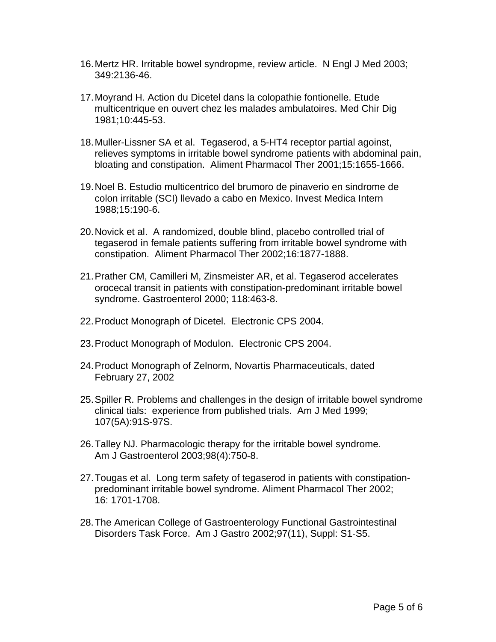- 16. Mertz HR. Irritable bowel syndropme, review article. N Engl J Med 2003; 349:2136-46.
- 17. Moyrand H. Action du Dicetel dans la colopathie fontionelle. Etude multicentrique en ouvert chez les malades ambulatoires. Med Chir Dig 1981;10:445-53.
- 18. Muller-Lissner SA et al. Tegaserod, a 5-HT4 receptor partial agoinst, relieves symptoms in irritable bowel syndrome patients with abdominal pain, bloating and constipation. Aliment Pharmacol Ther 2001;15:1655-1666.
- 19. Noel B. Estudio multicentrico del brumoro de pinaverio en sindrome de colon irritable (SCI) llevado a cabo en Mexico. Invest Medica Intern 1988;15:190-6.
- 20. Novick et al. A randomized, double blind, placebo controlled trial of tegaserod in female patients suffering from irritable bowel syndrome with constipation. Aliment Pharmacol Ther 2002;16:1877-1888.
- 21. Prather CM, Camilleri M, Zinsmeister AR, et al. Tegaserod accelerates orocecal transit in patients with constipation-predominant irritable bowel syndrome. Gastroenterol 2000; 118:463-8.
- 22. Product Monograph of Dicetel. Electronic CPS 2004.
- 23. Product Monograph of Modulon. Electronic CPS 2004.
- 24. Product Monograph of Zelnorm, Novartis Pharmaceuticals, dated February 27, 2002
- 25. Spiller R. Problems and challenges in the design of irritable bowel syndrome clinical tials: experience from published trials. Am J Med 1999; 107(5A):91S-97S.
- 26. Talley NJ. Pharmacologic therapy for the irritable bowel syndrome. Am J Gastroenterol 2003;98(4):750-8.
- 27. Tougas et al. Long term safety of tegaserod in patients with constipationpredominant irritable bowel syndrome. Aliment Pharmacol Ther 2002; 16: 1701-1708.
- 28. The American College of Gastroenterology Functional Gastrointestinal Disorders Task Force. Am J Gastro 2002;97(11), Suppl: S1-S5.